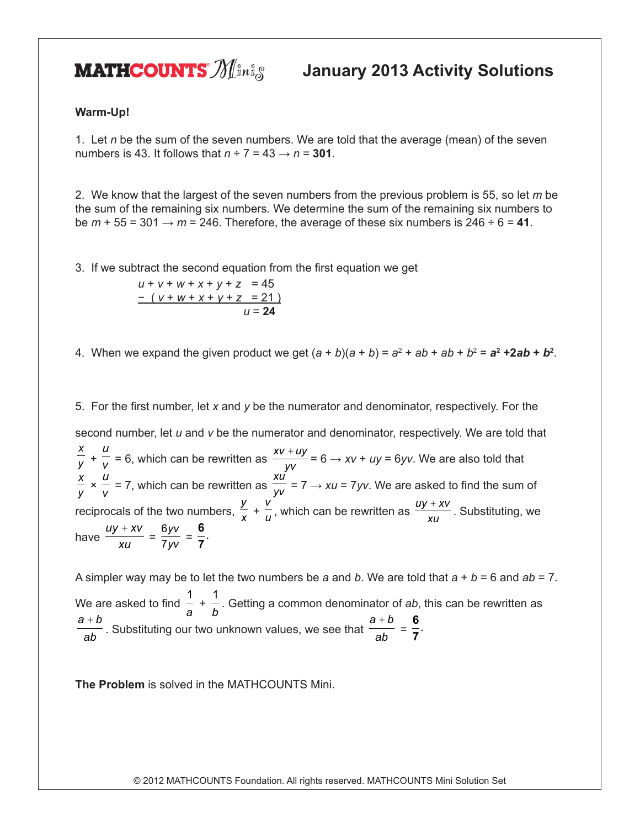**MATHCOUNTS**  $\mathcal{Y}$  *I*<sup>sni</sup><sub>s</sub> January 2013 Activity Solutions

## **Warm-Up!**

1. Let *n* be the sum of the seven numbers. We are told that the average (mean) of the seven numbers is 43. It follows that  $n \div 7 = 43 \rightarrow n = 301$ .

2. We know that the largest of the seven numbers from the previous problem is 55, so let *m* be the sum of the remaining six numbers. We determine the sum of the remaining six numbers to be  $m + 55 = 301 \rightarrow m = 246$ . Therefore, the average of these six numbers is  $246 \div 6 = 41$ .

3. If we subtract the second equation from the first equation we get

 $u + v + w + x + v + z = 45$ − ( *v* + *w* + *x* + *y* + *z* = 21 )  $u = 24$ 

4. When we expand the given product we get  $(a + b)(a + b) = a^2 + ab + ab + b^2 = a^2 + 2ab + b^2$ .

5. For the first number, let *x* and *y* be the numerator and denominator, respectively. For the second number, let *u* and *v* be the numerator and denominator, respectively. We are told that *x y* +  $\frac{u}{v}$  = 6, which can be rewritten as  $\frac{xv + uy}{yv}$  $\frac{+uy}{dx}$  = 6  $\rightarrow$  *xv* + *uy* = 6*yv*. We are also told that *x*  $\frac{1}{y}$  × *u*  $\tilde{-}$  = 7, which can be rewritten as<br>*v xu*  $\frac{1}{\mathcal{Y}^{\mathcal{V}}}$  = 7  $\rightarrow$  *xu* = 7 *yv*. We are asked to find the sum of reciprocals of the two numbers,  $\frac{y}{x}$  +  $\frac{v}{u}$ , which can be rewritten as  $\frac{uy + xv}{xu}$  $\frac{+ xv}{=}$ . Substituting, we have *uy xv xu*  $\frac{+ XV}{ }$  = 6 7 *yv*  $\frac{y}{y}$  = **6 7** .

A simpler way may be to let the two numbers be *a* and *b*. We are told that *a* + *b* = 6 and *ab* = 7. We are asked to find 1 *a* + 1 *<sup>b</sup>* . Getting a common denominator of *ab*, this can be rewritten as *a b ab*  $+\frac{b}{b}$ . Substituting our two unknown values, we see that *a b ab*  $\frac{+b}{b}$  = **6 7** .

**The Problem** is solved in the MATHCOUNTS Mini.

© 2012 MATHCOUNTS Foundation. All rights reserved. MATHCOUNTS Mini Solution Set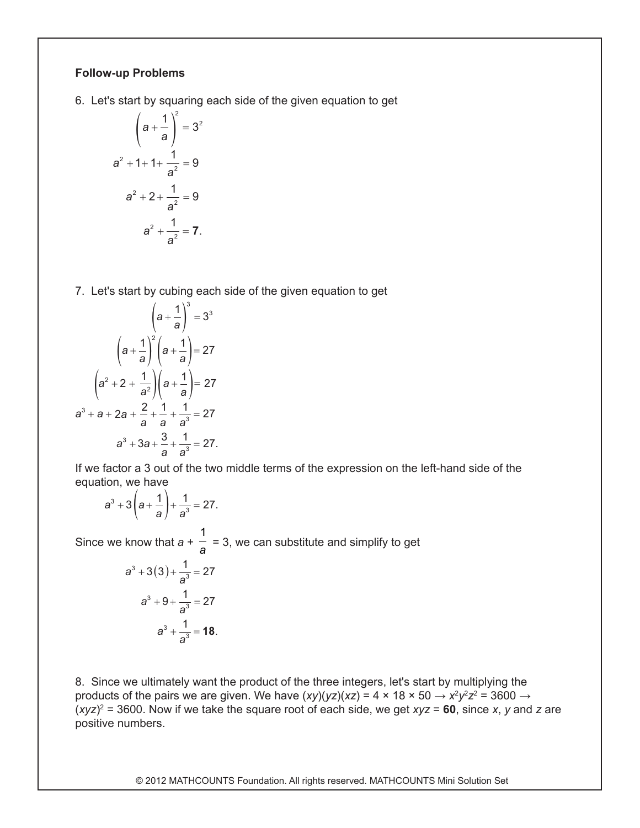## **Follow-up Problems**

6. Let's start by squaring each side of the given equation to get

$$
\left(a + \frac{1}{a}\right)^2 = 3^2
$$
  

$$
a^2 + 1 + 1 + \frac{1}{a^2} = 9
$$
  

$$
a^2 + 2 + \frac{1}{a^2} = 9
$$
  

$$
a^2 + \frac{1}{a^2} = 7.
$$

7. Let's start by cubing each side of the given equation to get

$$
\left(a + \frac{1}{a}\right)^3 = 3^3
$$

$$
\left(a + \frac{1}{a}\right)^2 \left(a + \frac{1}{a}\right) = 27
$$

$$
\left(a^2 + 2 + \frac{1}{a^2}\right) \left(a + \frac{1}{a}\right) = 27
$$

$$
a^3 + a + 2a + \frac{2}{a} + \frac{1}{a} + \frac{1}{a^3} = 27
$$

$$
a^3 + 3a + \frac{3}{a} + \frac{1}{a^3} = 27.
$$

*a a* a *d* cuttor a *c* call<br>equation, we have If we factor a 3 out of the two middle terms of the expression on the left-hand side of the<br>equation, we have equation, we have *a* we ractor a 5 out or the two<br>quation, we have *a*  $u$ atio

$$
a^3 + 3\left(a + \frac{1}{a}\right) + \frac{1}{a^3} = 27.
$$

Since we know that  $a + \frac{1}{a}$ 1 we know that  $a + \frac{1}{a} = 3$ , we can substitute and simplify to get *a* ve know that  $a + \frac{1}{a} =$ 

$$
a^{3} + 3(3) + \frac{1}{a^{3}} = 27
$$

$$
a^{3} + 9 + \frac{1}{a^{3}} = 27
$$

$$
a^{3} + \frac{1}{a^{3}} = 18.
$$

8. Since we ultimately want the product of the three integers, let's start by multiplying the products of the pairs we are given. We have (*xy*)(*yz*)(*xz*) = 4 × 18 × 50  $\rightarrow$  *x<sup>2</sup>y<sup>2</sup>z<sup>2</sup> =* 3600  $\rightarrow$ (*xyz*)2 = 3600. Now if we take the square root of each side, we get *xyz* = **60**, since *x*, *y* and *z* are positive numbers.